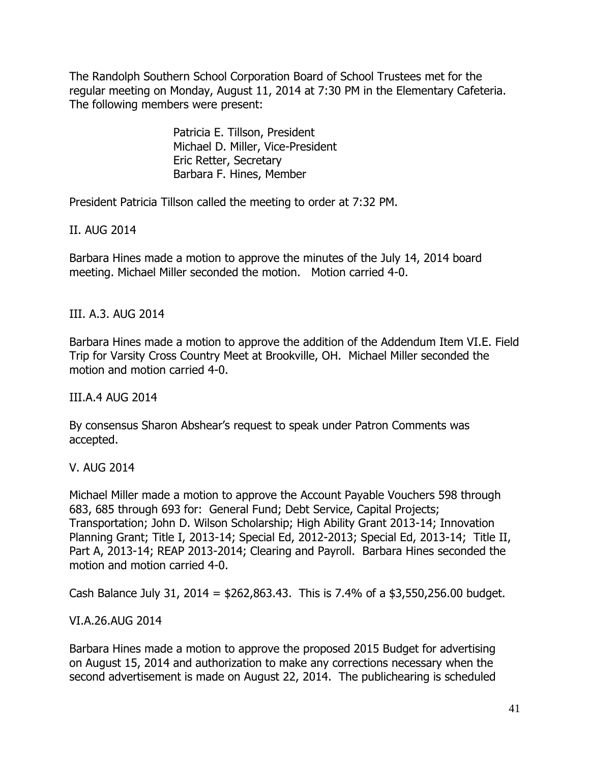The Randolph Southern School Corporation Board of School Trustees met for the regular meeting on Monday, August 11, 2014 at 7:30 PM in the Elementary Cafeteria. The following members were present:

> Patricia E. Tillson, President Michael D. Miller, Vice-President Eric Retter, Secretary Barbara F. Hines, Member

President Patricia Tillson called the meeting to order at 7:32 PM.

II. AUG 2014

Barbara Hines made a motion to approve the minutes of the July 14, 2014 board meeting. Michael Miller seconded the motion. Motion carried 4-0.

III. A.3. AUG 2014

Barbara Hines made a motion to approve the addition of the Addendum Item VI.E. Field Trip for Varsity Cross Country Meet at Brookville, OH. Michael Miller seconded the motion and motion carried 4-0.

III.A.4 AUG 2014

By consensus Sharon Abshear's request to speak under Patron Comments was accepted.

V. AUG 2014

Michael Miller made a motion to approve the Account Payable Vouchers 598 through 683, 685 through 693 for: General Fund; Debt Service, Capital Projects; Transportation; John D. Wilson Scholarship; High Ability Grant 2013-14; Innovation Planning Grant; Title I, 2013-14; Special Ed, 2012-2013; Special Ed, 2013-14; Title II, Part A, 2013-14; REAP 2013-2014; Clearing and Payroll. Barbara Hines seconded the motion and motion carried 4-0.

Cash Balance July 31, 2014 = \$262,863.43. This is 7.4% of a \$3,550,256.00 budget.

VI.A.26.AUG 2014

Barbara Hines made a motion to approve the proposed 2015 Budget for advertising on August 15, 2014 and authorization to make any corrections necessary when the second advertisement is made on August 22, 2014. The publichearing is scheduled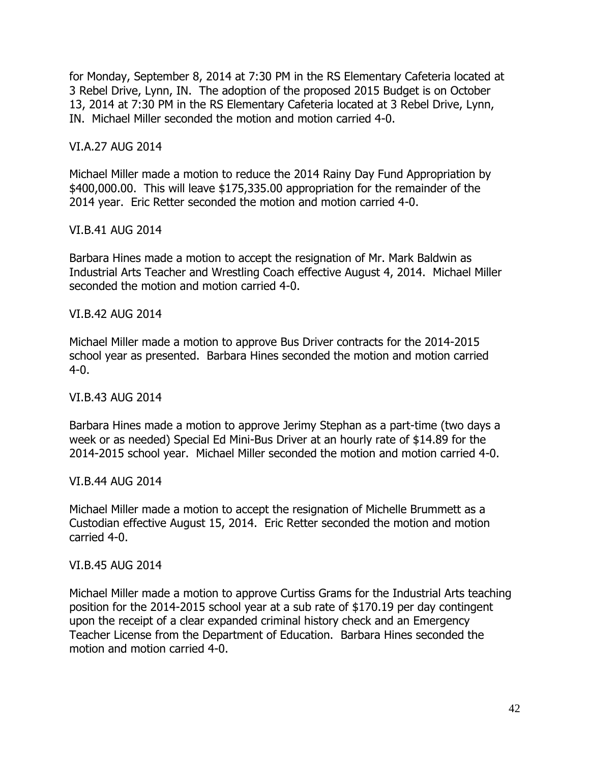for Monday, September 8, 2014 at 7:30 PM in the RS Elementary Cafeteria located at 3 Rebel Drive, Lynn, IN. The adoption of the proposed 2015 Budget is on October 13, 2014 at 7:30 PM in the RS Elementary Cafeteria located at 3 Rebel Drive, Lynn, IN. Michael Miller seconded the motion and motion carried 4-0.

## VI.A.27 AUG 2014

Michael Miller made a motion to reduce the 2014 Rainy Day Fund Appropriation by \$400,000.00. This will leave \$175,335.00 appropriation for the remainder of the 2014 year. Eric Retter seconded the motion and motion carried 4-0.

## VI.B.41 AUG 2014

Barbara Hines made a motion to accept the resignation of Mr. Mark Baldwin as Industrial Arts Teacher and Wrestling Coach effective August 4, 2014. Michael Miller seconded the motion and motion carried 4-0.

## VI.B.42 AUG 2014

Michael Miller made a motion to approve Bus Driver contracts for the 2014-2015 school year as presented. Barbara Hines seconded the motion and motion carried 4-0.

# VI.B.43 AUG 2014

Barbara Hines made a motion to approve Jerimy Stephan as a part-time (two days a week or as needed) Special Ed Mini-Bus Driver at an hourly rate of \$14.89 for the 2014-2015 school year. Michael Miller seconded the motion and motion carried 4-0.

# VI.B.44 AUG 2014

Michael Miller made a motion to accept the resignation of Michelle Brummett as a Custodian effective August 15, 2014. Eric Retter seconded the motion and motion carried 4-0.

#### VI.B.45 AUG 2014

Michael Miller made a motion to approve Curtiss Grams for the Industrial Arts teaching position for the 2014-2015 school year at a sub rate of \$170.19 per day contingent upon the receipt of a clear expanded criminal history check and an Emergency Teacher License from the Department of Education. Barbara Hines seconded the motion and motion carried 4-0.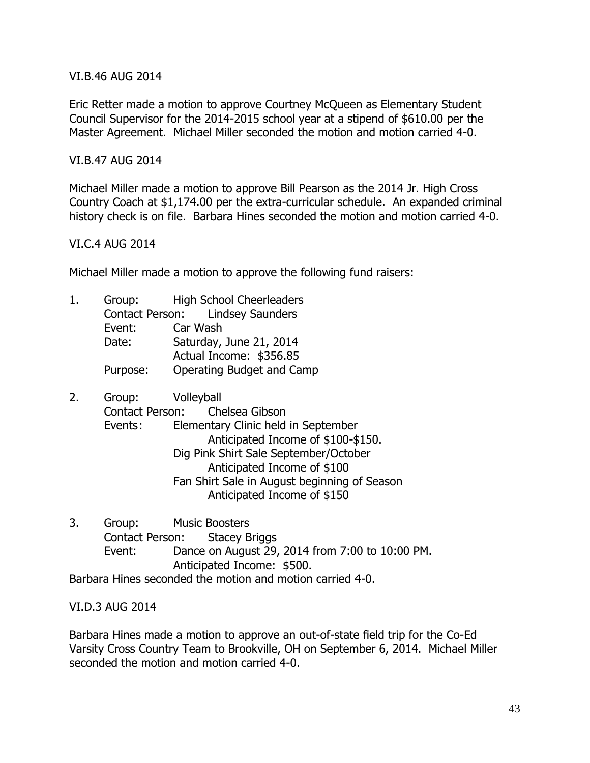VI.B.46 AUG 2014

Eric Retter made a motion to approve Courtney McQueen as Elementary Student Council Supervisor for the 2014-2015 school year at a stipend of \$610.00 per the Master Agreement. Michael Miller seconded the motion and motion carried 4-0.

# VI.B.47 AUG 2014

Michael Miller made a motion to approve Bill Pearson as the 2014 Jr. High Cross Country Coach at \$1,174.00 per the extra-curricular schedule. An expanded criminal history check is on file. Barbara Hines seconded the motion and motion carried 4-0.

## VI.C.4 AUG 2014

Michael Miller made a motion to approve the following fund raisers:

- 1. Group: High School Cheerleaders Contact Person: Lindsey Saunders Event: Car Wash Date: Saturday, June 21, 2014 Actual Income: \$356.85 Purpose: Operating Budget and Camp
- 2. Group: Volleyball Contact Person: Chelsea Gibson Events: Elementary Clinic held in September Anticipated Income of \$100-\$150. Dig Pink Shirt Sale September/October Anticipated Income of \$100 Fan Shirt Sale in August beginning of Season Anticipated Income of \$150
- 3. Group: Music Boosters Contact Person: Stacey Briggs Event: Dance on August 29, 2014 from 7:00 to 10:00 PM. Anticipated Income: \$500. Barbara Hines seconded the motion and motion carried 4-0.

#### VI.D.3 AUG 2014

Barbara Hines made a motion to approve an out-of-state field trip for the Co-Ed Varsity Cross Country Team to Brookville, OH on September 6, 2014. Michael Miller seconded the motion and motion carried 4-0.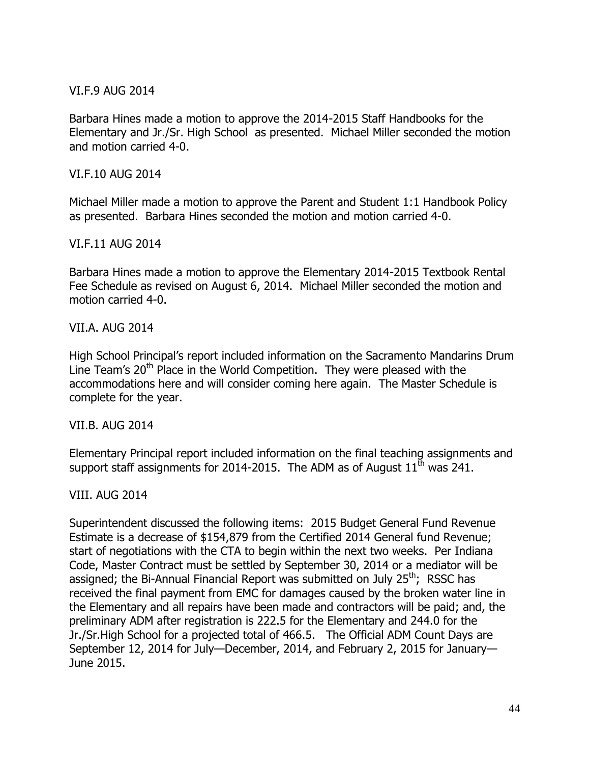VI.F.9 AUG 2014

Barbara Hines made a motion to approve the 2014-2015 Staff Handbooks for the Elementary and Jr./Sr. High School as presented. Michael Miller seconded the motion and motion carried 4-0.

VI.F.10 AUG 2014

Michael Miller made a motion to approve the Parent and Student 1:1 Handbook Policy as presented. Barbara Hines seconded the motion and motion carried 4-0.

VI.F.11 AUG 2014

Barbara Hines made a motion to approve the Elementary 2014-2015 Textbook Rental Fee Schedule as revised on August 6, 2014. Michael Miller seconded the motion and motion carried 4-0.

VII.A. AUG 2014

High School Principal's report included information on the Sacramento Mandarins Drum Line Team's 20<sup>th</sup> Place in the World Competition. They were pleased with the accommodations here and will consider coming here again. The Master Schedule is complete for the year.

VII.B. AUG 2014

Elementary Principal report included information on the final teaching assignments and support staff assignments for 2014-2015. The ADM as of August  $11^{\text{th}}$  was 241.

VIII. AUG 2014

Superintendent discussed the following items: 2015 Budget General Fund Revenue Estimate is a decrease of \$154,879 from the Certified 2014 General fund Revenue; start of negotiations with the CTA to begin within the next two weeks. Per Indiana Code, Master Contract must be settled by September 30, 2014 or a mediator will be assigned; the Bi-Annual Financial Report was submitted on July 25<sup>th</sup>; RSSC has received the final payment from EMC for damages caused by the broken water line in the Elementary and all repairs have been made and contractors will be paid; and, the preliminary ADM after registration is 222.5 for the Elementary and 244.0 for the Jr./Sr.High School for a projected total of 466.5. The Official ADM Count Days are September 12, 2014 for July—December, 2014, and February 2, 2015 for January— June 2015.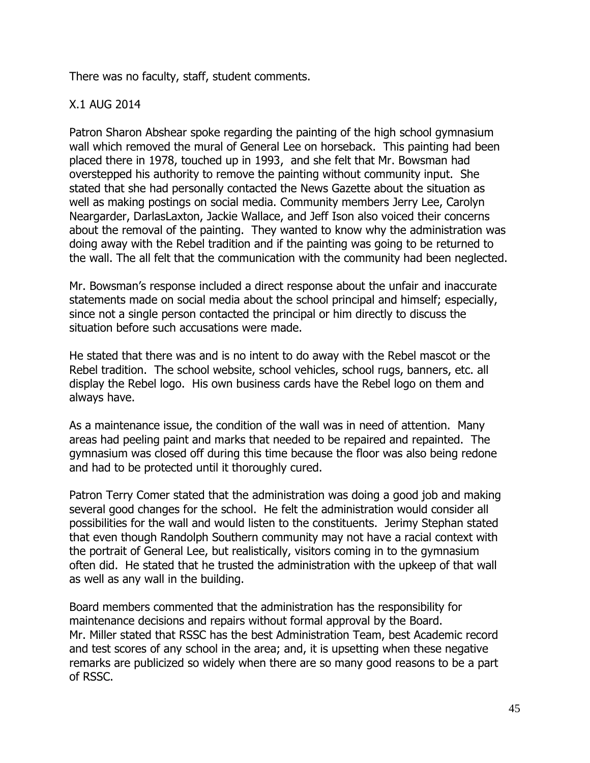There was no faculty, staff, student comments.

# X.1 AUG 2014

Patron Sharon Abshear spoke regarding the painting of the high school gymnasium wall which removed the mural of General Lee on horseback. This painting had been placed there in 1978, touched up in 1993, and she felt that Mr. Bowsman had overstepped his authority to remove the painting without community input. She stated that she had personally contacted the News Gazette about the situation as well as making postings on social media. Community members Jerry Lee, Carolyn Neargarder, DarlasLaxton, Jackie Wallace, and Jeff Ison also voiced their concerns about the removal of the painting. They wanted to know why the administration was doing away with the Rebel tradition and if the painting was going to be returned to the wall. The all felt that the communication with the community had been neglected.

Mr. Bowsman's response included a direct response about the unfair and inaccurate statements made on social media about the school principal and himself; especially, since not a single person contacted the principal or him directly to discuss the situation before such accusations were made.

He stated that there was and is no intent to do away with the Rebel mascot or the Rebel tradition. The school website, school vehicles, school rugs, banners, etc. all display the Rebel logo. His own business cards have the Rebel logo on them and always have.

As a maintenance issue, the condition of the wall was in need of attention. Many areas had peeling paint and marks that needed to be repaired and repainted. The gymnasium was closed off during this time because the floor was also being redone and had to be protected until it thoroughly cured.

Patron Terry Comer stated that the administration was doing a good job and making several good changes for the school. He felt the administration would consider all possibilities for the wall and would listen to the constituents. Jerimy Stephan stated that even though Randolph Southern community may not have a racial context with the portrait of General Lee, but realistically, visitors coming in to the gymnasium often did. He stated that he trusted the administration with the upkeep of that wall as well as any wall in the building.

Board members commented that the administration has the responsibility for maintenance decisions and repairs without formal approval by the Board. Mr. Miller stated that RSSC has the best Administration Team, best Academic record and test scores of any school in the area; and, it is upsetting when these negative remarks are publicized so widely when there are so many good reasons to be a part of RSSC.